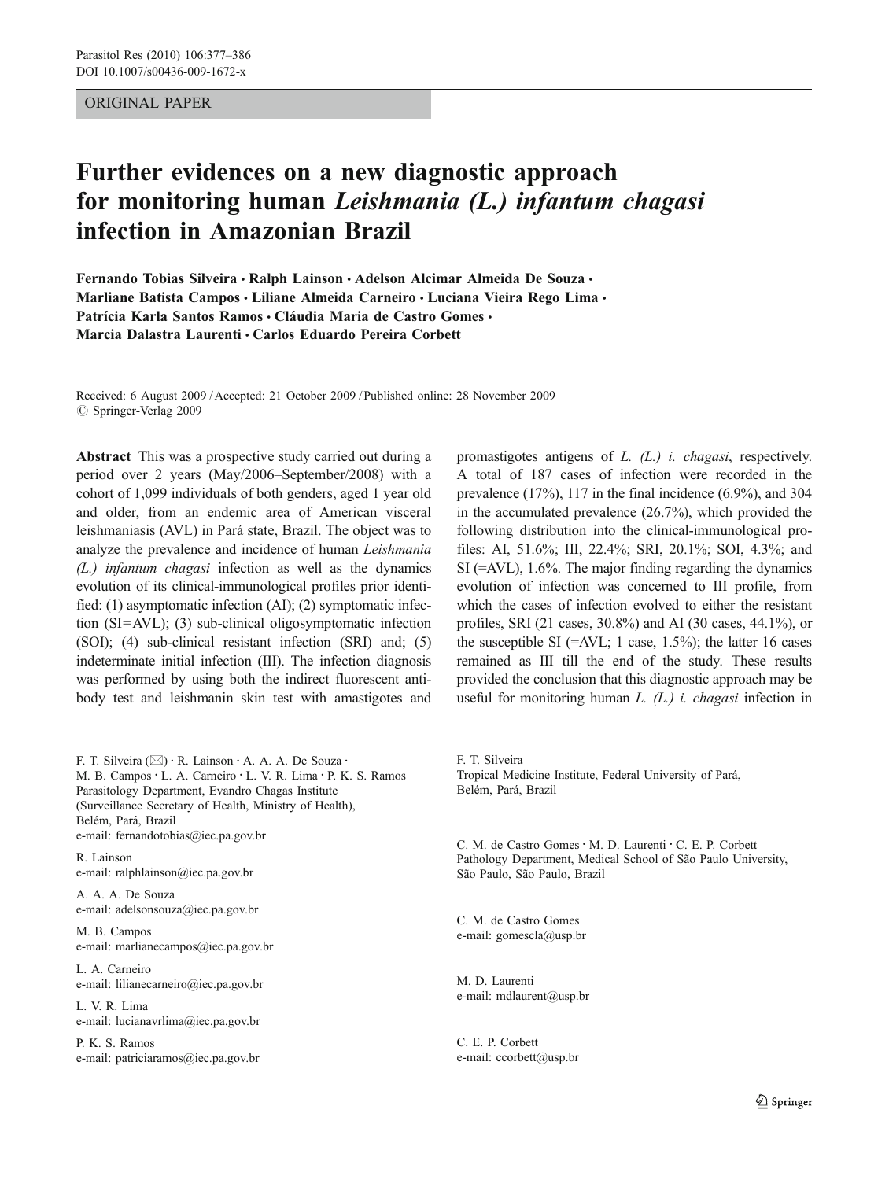## ORIGINAL PAPER

# Further evidences on a new diagnostic approach for monitoring human Leishmania (L.) infantum chagasi infection in Amazonian Brazil

Fernando Tobias Silveira • Ralph Lainson • Adelson Alcimar Almeida De Souza • Marliane Batista Campos • Liliane Almeida Carneiro • Luciana Vieira Rego Lima • Patrícia Karla Santos Ramos · Cláudia Maria de Castro Gomes · Marcia Dalastra Laurenti · Carlos Eduardo Pereira Corbett

Received: 6 August 2009 /Accepted: 21 October 2009 / Published online: 28 November 2009  $\oslash$  Springer-Verlag 2009

Abstract This was a prospective study carried out during a period over 2 years (May/2006–September/2008) with a cohort of 1,099 individuals of both genders, aged 1 year old and older, from an endemic area of American visceral leishmaniasis (AVL) in Pará state, Brazil. The object was to analyze the prevalence and incidence of human Leishmania (L.) infantum chagasi infection as well as the dynamics evolution of its clinical-immunological profiles prior identified: (1) asymptomatic infection (AI); (2) symptomatic infection (SI=AVL); (3) sub-clinical oligosymptomatic infection (SOI); (4) sub-clinical resistant infection (SRI) and; (5) indeterminate initial infection (III). The infection diagnosis was performed by using both the indirect fluorescent antibody test and leishmanin skin test with amastigotes and

F. T. Silveira (*\**) : R. Lainson : A. A. A. De Souza : M. B. Campos: L. A. Carneiro : L. V. R. Lima : P. K. S. Ramos Parasitology Department, Evandro Chagas Institute (Surveillance Secretary of Health, Ministry of Health), Belém, Pará, Brazil e-mail: fernandotobias@iec.pa.gov.br R. Lainson

e-mail: ralphlainson@iec.pa.gov.br

A. A. A. De Souza e-mail: adelsonsouza@iec.pa.gov.br

M. B. Campos e-mail: marlianecampos@iec.pa.gov.br

L. A. Carneiro e-mail: lilianecarneiro@iec.pa.gov.br

L. V. R. Lima e-mail: lucianavrlima@iec.pa.gov.br

P. K. S. Ramos e-mail: patriciaramos@iec.pa.gov.br promastigotes antigens of L. (L.) i. chagasi, respectively. A total of 187 cases of infection were recorded in the prevalence (17%), 117 in the final incidence (6.9%), and 304 in the accumulated prevalence (26.7%), which provided the following distribution into the clinical-immunological profiles: AI, 51.6%; III, 22.4%; SRI, 20.1%; SOI, 4.3%; and SI (=AVL), 1.6%. The major finding regarding the dynamics evolution of infection was concerned to III profile, from which the cases of infection evolved to either the resistant profiles, SRI (21 cases, 30.8%) and AI (30 cases, 44.1%), or the susceptible SI (=AVL; 1 case,  $1.5\%$ ); the latter 16 cases remained as III till the end of the study. These results provided the conclusion that this diagnostic approach may be useful for monitoring human  $L$ .  $(L)$  i. chagasi infection in

F. T. Silveira Tropical Medicine Institute, Federal University of Pará, Belém, Pará, Brazil

C. M. de Castro Gomes · M. D. Laurenti · C. E. P. Corbett Pathology Department, Medical School of São Paulo University, São Paulo, São Paulo, Brazil

C. M. de Castro Gomes e-mail: gomescla@usp.br

M. D. Laurenti e-mail: mdlaurent@usp.br

C. E. P. Corbett e-mail: ccorbett@usp.br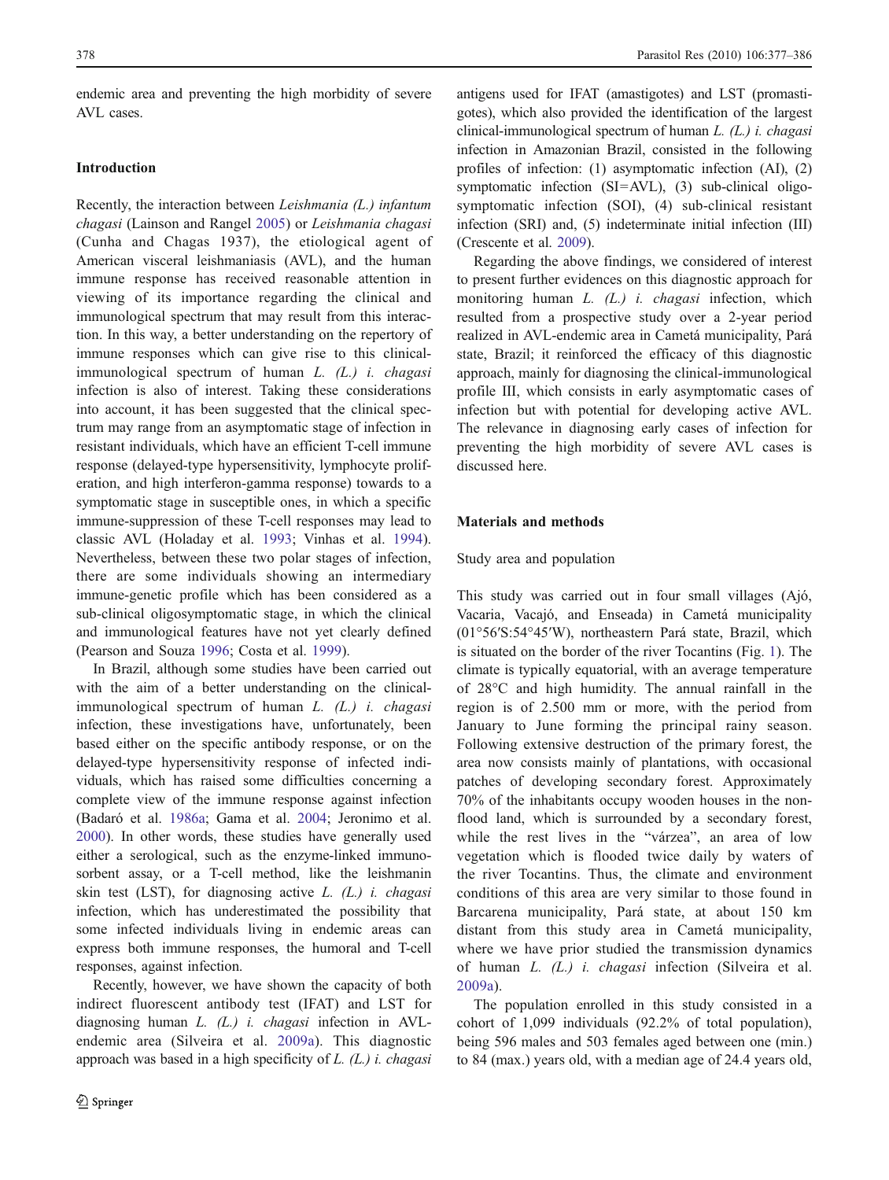endemic area and preventing the high morbidity of severe AVL cases.

#### Introduction

Recently, the interaction between Leishmania (L.) infantum chagasi (Lainson and Rangel [2005\)](#page-8-0) or Leishmania chagasi (Cunha and Chagas 1937), the etiological agent of American visceral leishmaniasis (AVL), and the human immune response has received reasonable attention in viewing of its importance regarding the clinical and immunological spectrum that may result from this interaction. In this way, a better understanding on the repertory of immune responses which can give rise to this clinicalimmunological spectrum of human L. (L.) i. chagasi infection is also of interest. Taking these considerations into account, it has been suggested that the clinical spectrum may range from an asymptomatic stage of infection in resistant individuals, which have an efficient T-cell immune response (delayed-type hypersensitivity, lymphocyte proliferation, and high interferon-gamma response) towards to a symptomatic stage in susceptible ones, in which a specific immune-suppression of these T-cell responses may lead to classic AVL (Holaday et al. [1993;](#page-8-0) Vinhas et al. [1994](#page-9-0)). Nevertheless, between these two polar stages of infection, there are some individuals showing an intermediary immune-genetic profile which has been considered as a sub-clinical oligosymptomatic stage, in which the clinical and immunological features have not yet clearly defined (Pearson and Souza [1996;](#page-8-0) Costa et al. [1999\)](#page-8-0).

In Brazil, although some studies have been carried out with the aim of a better understanding on the clinicalimmunological spectrum of human  $L$ .  $(L)$  i. chagasi infection, these investigations have, unfortunately, been based either on the specific antibody response, or on the delayed-type hypersensitivity response of infected individuals, which has raised some difficulties concerning a complete view of the immune response against infection (Badaró et al. [1986a](#page-8-0); Gama et al. [2004](#page-8-0); Jeronimo et al. [2000\)](#page-8-0). In other words, these studies have generally used either a serological, such as the enzyme-linked immunosorbent assay, or a T-cell method, like the leishmanin skin test (LST), for diagnosing active  $L$ .  $(L)$  *i. chagasi* infection, which has underestimated the possibility that some infected individuals living in endemic areas can express both immune responses, the humoral and T-cell responses, against infection.

Recently, however, we have shown the capacity of both indirect fluorescent antibody test (IFAT) and LST for diagnosing human  $L$ . ( $L$ .) *i. chagasi* infection in AVLendemic area (Silveira et al. [2009a\)](#page-9-0). This diagnostic approach was based in a high specificity of  $L$ .  $(L)$  i. chagasi

antigens used for IFAT (amastigotes) and LST (promastigotes), which also provided the identification of the largest clinical-immunological spectrum of human L. (L.) i. chagasi infection in Amazonian Brazil, consisted in the following profiles of infection: (1) asymptomatic infection (AI), (2) symptomatic infection (SI=AVL), (3) sub-clinical oligosymptomatic infection (SOI), (4) sub-clinical resistant infection (SRI) and, (5) indeterminate initial infection (III) (Crescente et al. [2009\)](#page-8-0).

Regarding the above findings, we considered of interest to present further evidences on this diagnostic approach for monitoring human L. (L.) *i. chagasi* infection, which resulted from a prospective study over a 2-year period realized in AVL-endemic area in Cametá municipality, Pará state, Brazil; it reinforced the efficacy of this diagnostic approach, mainly for diagnosing the clinical-immunological profile III, which consists in early asymptomatic cases of infection but with potential for developing active AVL. The relevance in diagnosing early cases of infection for preventing the high morbidity of severe AVL cases is discussed here.

### Materials and methods

#### Study area and population

This study was carried out in four small villages (Ajó, Vacaria, Vacajó, and Enseada) in Cametá municipality (01°56′S:54°45′W), northeastern Pará state, Brazil, which is situated on the border of the river Tocantins (Fig. [1](#page-2-0)). The climate is typically equatorial, with an average temperature of 28°C and high humidity. The annual rainfall in the region is of 2.500 mm or more, with the period from January to June forming the principal rainy season. Following extensive destruction of the primary forest, the area now consists mainly of plantations, with occasional patches of developing secondary forest. Approximately 70% of the inhabitants occupy wooden houses in the nonflood land, which is surrounded by a secondary forest, while the rest lives in the "várzea", an area of low vegetation which is flooded twice daily by waters of the river Tocantins. Thus, the climate and environment conditions of this area are very similar to those found in Barcarena municipality, Pará state, at about 150 km distant from this study area in Cametá municipality, where we have prior studied the transmission dynamics of human L. (L.) i. chagasi infection (Silveira et al. [2009a\)](#page-9-0).

The population enrolled in this study consisted in a cohort of 1,099 individuals (92.2% of total population), being 596 males and 503 females aged between one (min.) to 84 (max.) years old, with a median age of 24.4 years old,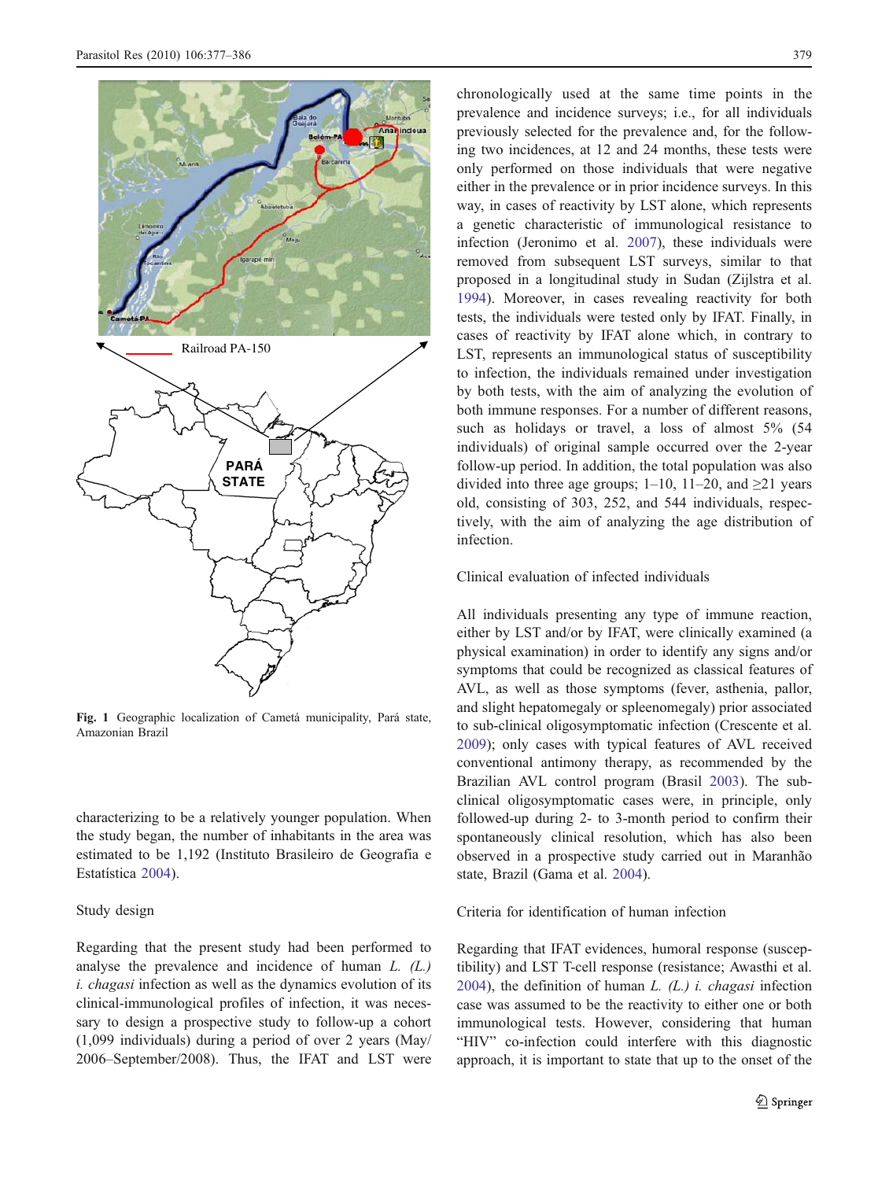<span id="page-2-0"></span>

Fig. 1 Geographic localization of Cametá municipality, Pará state, Amazonian Brazil

characterizing to be a relatively younger population. When the study began, the number of inhabitants in the area was estimated to be 1,192 (Instituto Brasileiro de Geografia e Estatística [2004\)](#page-8-0).

## Study design

Regarding that the present study had been performed to analyse the prevalence and incidence of human L. (L.) i. chagasi infection as well as the dynamics evolution of its clinical-immunological profiles of infection, it was necessary to design a prospective study to follow-up a cohort (1,099 individuals) during a period of over 2 years (May/ 2006–September/2008). Thus, the IFAT and LST were chronologically used at the same time points in the prevalence and incidence surveys; i.e., for all individuals previously selected for the prevalence and, for the following two incidences, at 12 and 24 months, these tests were only performed on those individuals that were negative either in the prevalence or in prior incidence surveys. In this way, in cases of reactivity by LST alone, which represents a genetic characteristic of immunological resistance to infection (Jeronimo et al. [2007](#page-8-0)), these individuals were removed from subsequent LST surveys, similar to that proposed in a longitudinal study in Sudan (Zijlstra et al. [1994](#page-9-0)). Moreover, in cases revealing reactivity for both tests, the individuals were tested only by IFAT. Finally, in cases of reactivity by IFAT alone which, in contrary to LST, represents an immunological status of susceptibility to infection, the individuals remained under investigation by both tests, with the aim of analyzing the evolution of both immune responses. For a number of different reasons, such as holidays or travel, a loss of almost 5% (54) individuals) of original sample occurred over the 2-year follow-up period. In addition, the total population was also divided into three age groups;  $1-10$ ,  $11-20$ , and  $\geq 21$  years old, consisting of 303, 252, and 544 individuals, respectively, with the aim of analyzing the age distribution of infection.

Clinical evaluation of infected individuals

All individuals presenting any type of immune reaction, either by LST and/or by IFAT, were clinically examined (a physical examination) in order to identify any signs and/or symptoms that could be recognized as classical features of AVL, as well as those symptoms (fever, asthenia, pallor, and slight hepatomegaly or spleenomegaly) prior associated to sub-clinical oligosymptomatic infection (Crescente et al. [2009](#page-8-0)); only cases with typical features of AVL received conventional antimony therapy, as recommended by the Brazilian AVL control program (Brasil [2003\)](#page-8-0). The subclinical oligosymptomatic cases were, in principle, only followed-up during 2- to 3-month period to confirm their spontaneously clinical resolution, which has also been observed in a prospective study carried out in Maranhão state, Brazil (Gama et al. [2004\)](#page-8-0).

Criteria for identification of human infection

Regarding that IFAT evidences, humoral response (susceptibility) and LST T-cell response (resistance; Awasthi et al. [2004](#page-8-0)), the definition of human  $L$ . ( $L$ .) *i. chagasi* infection case was assumed to be the reactivity to either one or both immunological tests. However, considering that human "HIV" co-infection could interfere with this diagnostic approach, it is important to state that up to the onset of the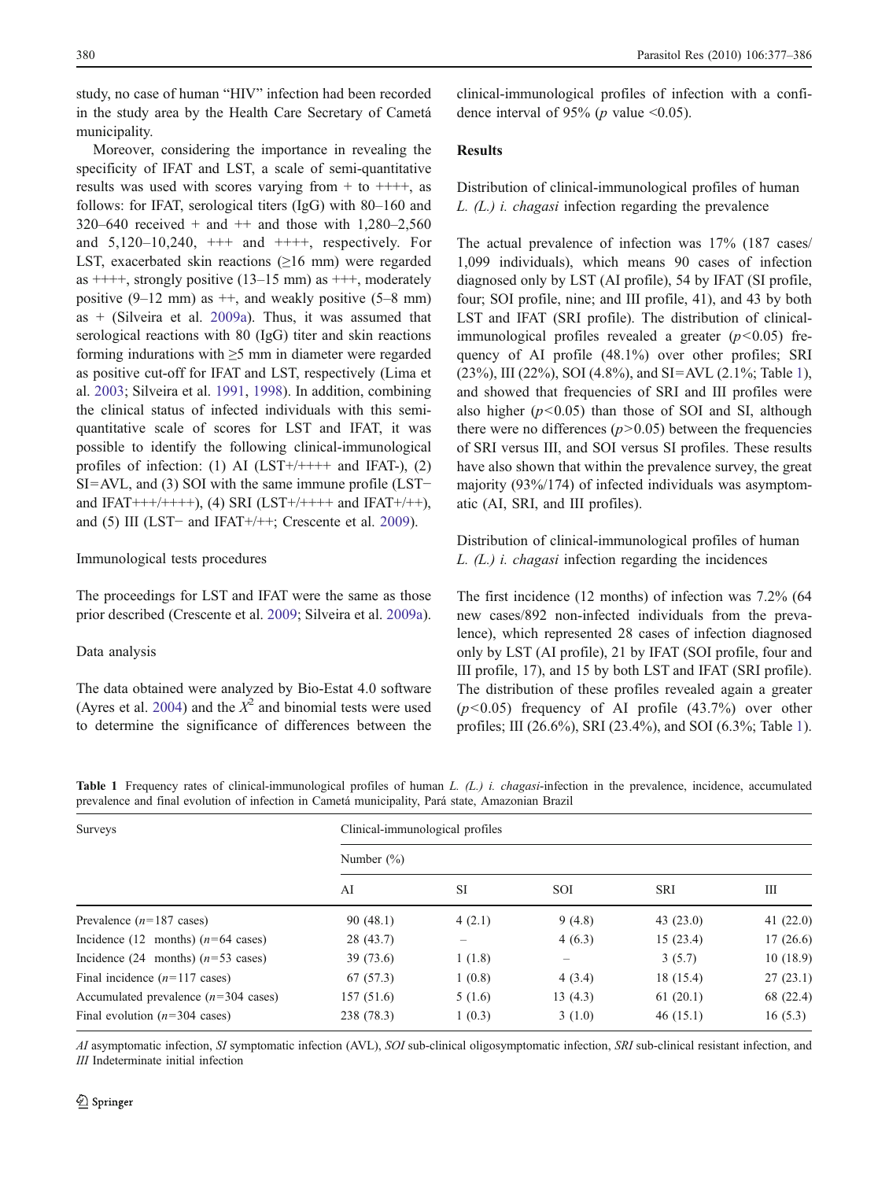<span id="page-3-0"></span>study, no case of human "HIV" infection had been recorded in the study area by the Health Care Secretary of Cametá municipality.

Moreover, considering the importance in revealing the specificity of IFAT and LST, a scale of semi-quantitative results was used with scores varying from  $+$  to  $+++$ , as follows: for IFAT, serological titers (IgG) with 80–160 and  $320-640$  received + and ++ and those with  $1,280-2,560$ and  $5,120-10,240$ ,  $++$  and  $++$ , respectively. For LST, exacerbated skin reactions  $(≥16$  mm) were regarded as  $+++$ , strongly positive (13–15 mm) as  $++$ , moderately positive  $(9-12 \text{ mm})$  as  $++$ , and weakly positive  $(5-8 \text{ mm})$ as + (Silveira et al. [2009a](#page-9-0)). Thus, it was assumed that serological reactions with 80 (IgG) titer and skin reactions forming indurations with ≥5 mm in diameter were regarded as positive cut-off for IFAT and LST, respectively (Lima et al. [2003](#page-8-0); Silveira et al. [1991](#page-8-0), [1998\)](#page-9-0). In addition, combining the clinical status of infected individuals with this semiquantitative scale of scores for LST and IFAT, it was possible to identify the following clinical-immunological profiles of infection: (1) AI (LST+/++++ and IFAT-), (2) SI=AVL, and (3) SOI with the same immune profile (LST− and IFAT+++/++++), (4) SRI (LST+/++++ and IFAT+/++), and (5) III (LST− and IFAT+/++; Crescente et al. [2009\)](#page-8-0).

#### Immunological tests procedures

The proceedings for LST and IFAT were the same as those prior described (Crescente et al. [2009](#page-8-0); Silveira et al. [2009a](#page-9-0)).

#### Data analysis

The data obtained were analyzed by Bio-Estat 4.0 software (Ayres et al. [2004](#page-8-0)) and the  $X^2$  and binomial tests were used to determine the significance of differences between the clinical-immunological profiles of infection with a confidence interval of 95% ( $p$  value <0.05).

#### Results

Distribution of clinical-immunological profiles of human L. (L.) i. chagasi infection regarding the prevalence

The actual prevalence of infection was 17% (187 cases/ 1,099 individuals), which means 90 cases of infection diagnosed only by LST (AI profile), 54 by IFAT (SI profile, four; SOI profile, nine; and III profile, 41), and 43 by both LST and IFAT (SRI profile). The distribution of clinicalimmunological profiles revealed a greater  $(p<0.05)$  frequency of AI profile (48.1%) over other profiles; SRI (23%), III (22%), SOI (4.8%), and SI=AVL (2.1%; Table 1), and showed that frequencies of SRI and III profiles were also higher  $(p<0.05)$  than those of SOI and SI, although there were no differences  $(p>0.05)$  between the frequencies of SRI versus III, and SOI versus SI profiles. These results have also shown that within the prevalence survey, the great majority (93%/174) of infected individuals was asymptomatic (AI, SRI, and III profiles).

Distribution of clinical-immunological profiles of human  $L. (L.)$  *i. chagasi* infection regarding the incidences

The first incidence (12 months) of infection was 7.2% (64 new cases/892 non-infected individuals from the prevalence), which represented 28 cases of infection diagnosed only by LST (AI profile), 21 by IFAT (SOI profile, four and III profile, 17), and 15 by both LST and IFAT (SRI profile). The distribution of these profiles revealed again a greater  $(p<0.05)$  frequency of AI profile  $(43.7%)$  over other profiles; III (26.6%), SRI (23.4%), and SOI (6.3%; Table 1).

**Table 1** Frequency rates of clinical-immunological profiles of human L.  $(L)$  i. chagasi-infection in the prevalence, incidence, accumulated prevalence and final evolution of infection in Cametá municipality, Pará state, Amazonian Brazil

| Surveys                                        | Clinical-immunological profiles |           |                   |            |             |  |  |  |
|------------------------------------------------|---------------------------------|-----------|-------------------|------------|-------------|--|--|--|
|                                                | Number $(\%)$                   |           |                   |            |             |  |  |  |
|                                                | AI                              | <b>SI</b> | <b>SOI</b>        | <b>SRI</b> | Ш           |  |  |  |
| Prevalence $(n=187 \text{ cases})$             | 90(48.1)                        | 4(2.1)    | 9(4.8)            | 43(23.0)   | 41 $(22.0)$ |  |  |  |
| Incidence (12 months) $(n=64 \text{ cases})$   | 28(43.7)                        | —         | 4(6.3)            | 15(23.4)   | 17(26.6)    |  |  |  |
| Incidence (24 months) $(n=53 \text{ cases})$   | 39(73.6)                        | 1(1.8)    | $\qquad \qquad -$ | 3(5.7)     | 10(18.9)    |  |  |  |
| Final incidence $(n=117 \text{ cases})$        | 67(57.3)                        | 1(0.8)    | 4(3.4)            | 18 (15.4)  | 27(23.1)    |  |  |  |
| Accumulated prevalence $(n=304 \text{ cases})$ | 157(51.6)                       | 5(1.6)    | 13(4.3)           | 61(20.1)   | 68 (22.4)   |  |  |  |
| Final evolution $(n=304 \text{ cases})$        | 238 (78.3)                      | 1(0.3)    | 3(1.0)            | 46(15.1)   | 16(5.3)     |  |  |  |

AI asymptomatic infection, SI symptomatic infection (AVL), SOI sub-clinical oligosymptomatic infection, SRI sub-clinical resistant infection, and III Indeterminate initial infection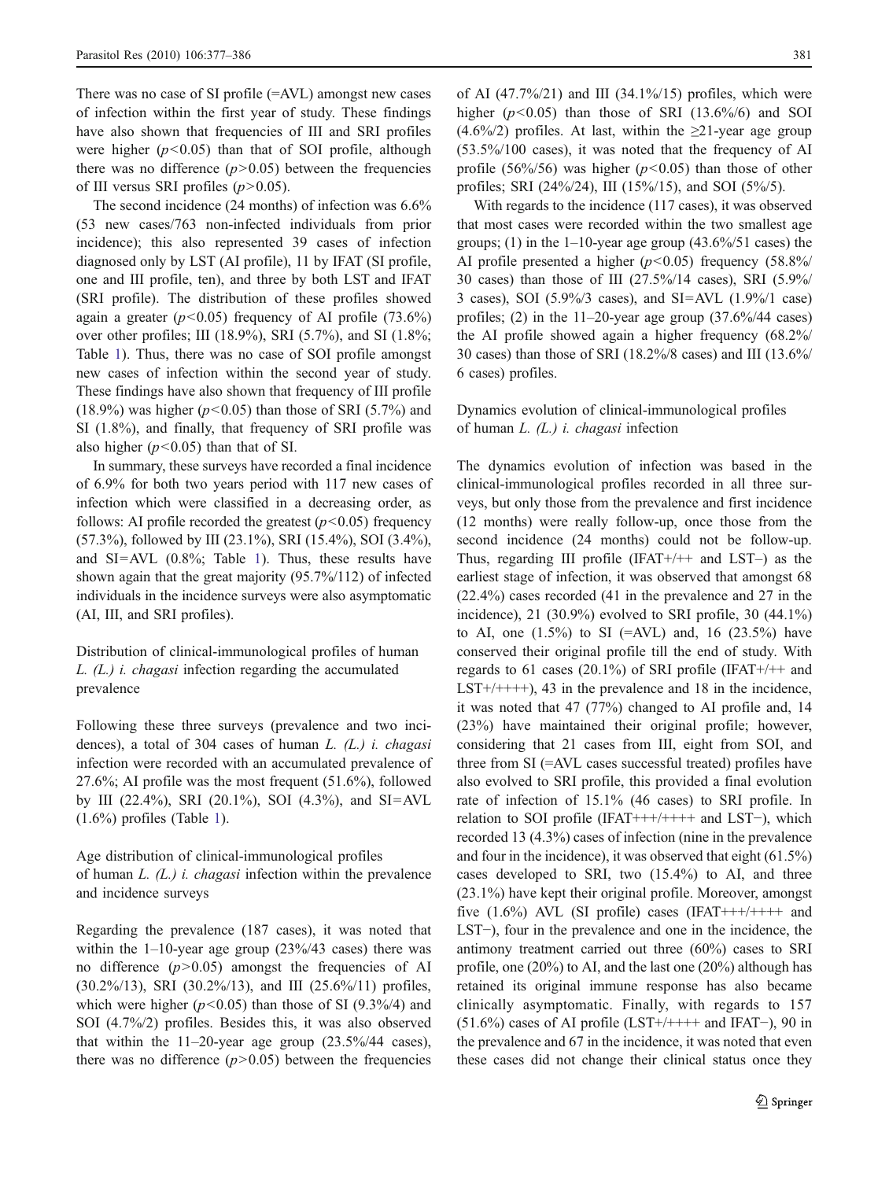There was no case of SI profile (=AVL) amongst new cases of infection within the first year of study. These findings have also shown that frequencies of III and SRI profiles were higher  $(p<0.05)$  than that of SOI profile, although there was no difference  $(p>0.05)$  between the frequencies of III versus SRI profiles  $(p>0.05)$ .

The second incidence (24 months) of infection was 6.6% (53 new cases/763 non-infected individuals from prior incidence); this also represented 39 cases of infection diagnosed only by LST (AI profile), 11 by IFAT (SI profile, one and III profile, ten), and three by both LST and IFAT (SRI profile). The distribution of these profiles showed again a greater  $(p<0.05)$  frequency of AI profile (73.6%) over other profiles; III (18.9%), SRI (5.7%), and SI (1.8%; Table [1\)](#page-3-0). Thus, there was no case of SOI profile amongst new cases of infection within the second year of study. These findings have also shown that frequency of III profile (18.9%) was higher ( $p$ <0.05) than those of SRI (5.7%) and SI (1.8%), and finally, that frequency of SRI profile was also higher ( $p$ <0.05) than that of SI.

In summary, these surveys have recorded a final incidence of 6.9% for both two years period with 117 new cases of infection which were classified in a decreasing order, as follows: AI profile recorded the greatest  $(p<0.05)$  frequency (57.3%), followed by III (23.1%), SRI (15.4%), SOI (3.4%), and SI=AVL (0.8%; Table [1](#page-3-0)). Thus, these results have shown again that the great majority (95.7%/112) of infected individuals in the incidence surveys were also asymptomatic (AI, III, and SRI profiles).

Distribution of clinical-immunological profiles of human L. (L.) i. chagasi infection regarding the accumulated prevalence

Following these three surveys (prevalence and two incidences), a total of 304 cases of human  $L$ . ( $L$ .) *i. chagasi* infection were recorded with an accumulated prevalence of 27.6%; AI profile was the most frequent (51.6%), followed by III (22.4%), SRI (20.1%), SOI (4.3%), and SI=AVL  $(1.6\%)$  $(1.6\%)$  $(1.6\%)$  profiles (Table 1).

Age distribution of clinical-immunological profiles of human  $L$ .  $(L)$  *i. chagasi* infection within the prevalence and incidence surveys

Regarding the prevalence (187 cases), it was noted that within the  $1-10$ -year age group (23%/43 cases) there was no difference  $(p>0.05)$  amongst the frequencies of AI (30.2%/13), SRI (30.2%/13), and III (25.6%/11) profiles, which were higher ( $p$ <0.05) than those of SI (9.3%/4) and SOI (4.7%/2) profiles. Besides this, it was also observed that within the  $11-20$ -year age group  $(23.5\%/44 \text{ cases})$ , there was no difference  $(p>0.05)$  between the frequencies of AI  $(47.7\%/21)$  and III  $(34.1\%/15)$  profiles, which were higher  $(p<0.05)$  than those of SRI (13.6%/6) and SOI  $(4.6\%/2)$  profiles. At last, within the  $\geq 21$ -year age group (53.5%/100 cases), it was noted that the frequency of AI profile (56%/56) was higher ( $p$ <0.05) than those of other profiles; SRI (24%/24), III (15%/15), and SOI (5%/5).

With regards to the incidence (117 cases), it was observed that most cases were recorded within the two smallest age groups; (1) in the 1–10-year age group  $(43.6\%/51 \text{ cases})$  the AI profile presented a higher ( $p$ <0.05) frequency (58.8%/ 30 cases) than those of III (27.5%/14 cases), SRI (5.9%/ 3 cases), SOI (5.9%/3 cases), and SI=AVL (1.9%/1 case) profiles; (2) in the 11–20-year age group (37.6%/44 cases) the AI profile showed again a higher frequency (68.2%/ 30 cases) than those of SRI (18.2%/8 cases) and III (13.6%/ 6 cases) profiles.

## Dynamics evolution of clinical-immunological profiles of human  $L.$  ( $L.$ ) i. chagasi infection

The dynamics evolution of infection was based in the clinical-immunological profiles recorded in all three surveys, but only those from the prevalence and first incidence (12 months) were really follow-up, once those from the second incidence (24 months) could not be follow-up. Thus, regarding III profile  $(IFAT+/++$  and  $LST-)$  as the earliest stage of infection, it was observed that amongst 68 (22.4%) cases recorded (41 in the prevalence and 27 in the incidence),  $21$  (30.9%) evolved to SRI profile,  $30$  (44.1%) to AI, one  $(1.5\%)$  to SI (=AVL) and, 16 (23.5%) have conserved their original profile till the end of study. With regards to 61 cases (20.1%) of SRI profile (IFAT+/++ and LST+/++++), 43 in the prevalence and 18 in the incidence, it was noted that 47 (77%) changed to AI profile and, 14 (23%) have maintained their original profile; however, considering that 21 cases from III, eight from SOI, and three from SI (=AVL cases successful treated) profiles have also evolved to SRI profile, this provided a final evolution rate of infection of 15.1% (46 cases) to SRI profile. In relation to SOI profile (IFAT+++/++++ and LST−), which recorded 13 (4.3%) cases of infection (nine in the prevalence and four in the incidence), it was observed that eight (61.5%) cases developed to SRI, two (15.4%) to AI, and three (23.1%) have kept their original profile. Moreover, amongst five  $(1.6\%)$  AVL (SI profile) cases (IFAT+++/++++ and LST−), four in the prevalence and one in the incidence, the antimony treatment carried out three (60%) cases to SRI profile, one (20%) to AI, and the last one (20%) although has retained its original immune response has also became clinically asymptomatic. Finally, with regards to 157 (51.6%) cases of AI profile (LST+/++++ and IFAT−), 90 in the prevalence and 67 in the incidence, it was noted that even these cases did not change their clinical status once they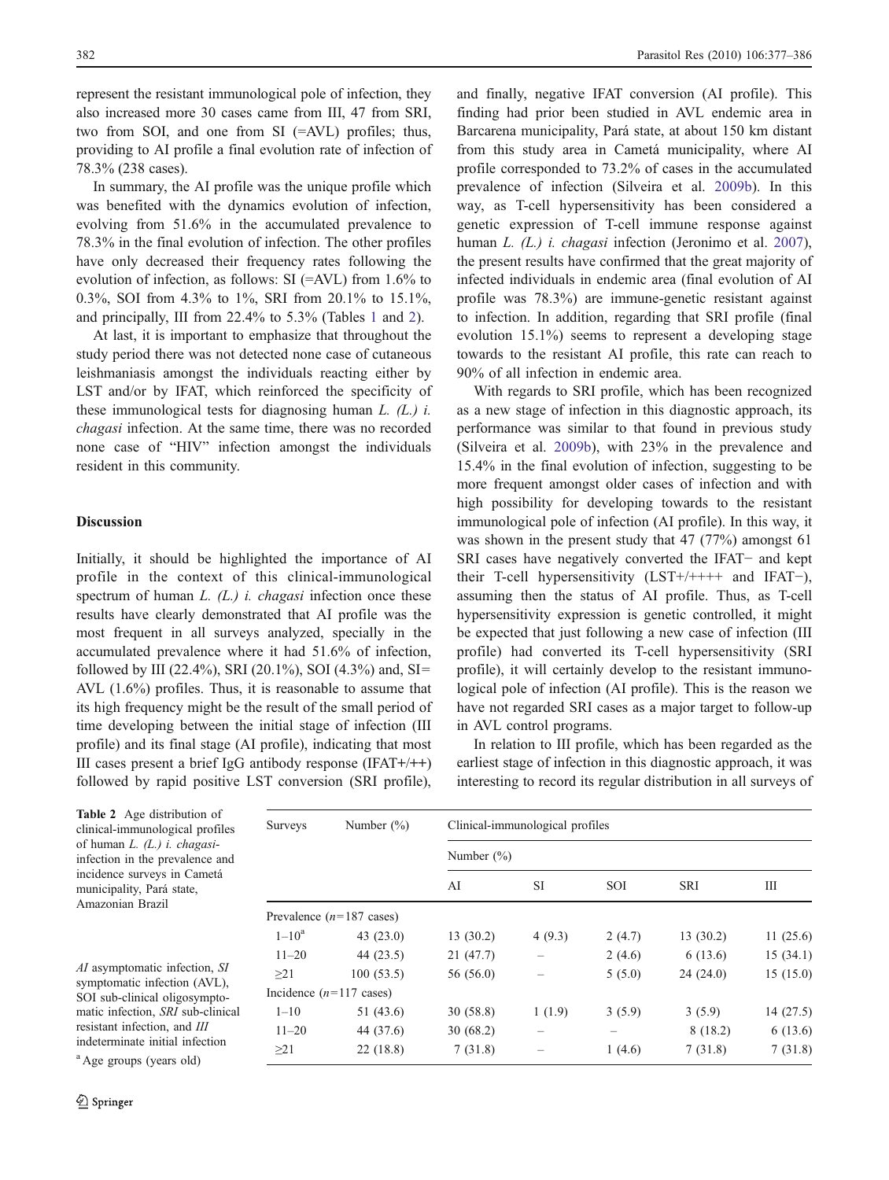represent the resistant immunological pole of infection, they also increased more 30 cases came from III, 47 from SRI, two from SOI, and one from SI (=AVL) profiles; thus, providing to AI profile a final evolution rate of infection of 78.3% (238 cases).

In summary, the AI profile was the unique profile which was benefited with the dynamics evolution of infection, evolving from 51.6% in the accumulated prevalence to 78.3% in the final evolution of infection. The other profiles have only decreased their frequency rates following the evolution of infection, as follows: SI (=AVL) from 1.6% to 0.3%, SOI from 4.3% to 1%, SRI from 20.1% to 15.1%, and principally, III from 22.4% to 5.3% (Tables [1](#page-3-0) and 2).

At last, it is important to emphasize that throughout the study period there was not detected none case of cutaneous leishmaniasis amongst the individuals reacting either by LST and/or by IFAT, which reinforced the specificity of these immunological tests for diagnosing human  $L$ . ( $L$ .)  $i$ . chagasi infection. At the same time, there was no recorded none case of "HIV" infection amongst the individuals resident in this community.

#### **Discussion**

Initially, it should be highlighted the importance of AI profile in the context of this clinical-immunological spectrum of human  $L$ . ( $L$ .) *i. chagasi* infection once these results have clearly demonstrated that AI profile was the most frequent in all surveys analyzed, specially in the accumulated prevalence where it had 51.6% of infection, followed by III (22.4%), SRI (20.1%), SOI (4.3%) and, SI= AVL (1.6%) profiles. Thus, it is reasonable to assume that its high frequency might be the result of the small period of time developing between the initial stage of infection (III profile) and its final stage (AI profile), indicating that most III cases present a brief IgG antibody response (IFAT+/++) followed by rapid positive LST conversion (SRI profile),

and finally, negative IFAT conversion (AI profile). This finding had prior been studied in AVL endemic area in Barcarena municipality, Pará state, at about 150 km distant from this study area in Cametá municipality, where AI profile corresponded to 73.2% of cases in the accumulated prevalence of infection (Silveira et al. [2009b\)](#page-9-0). In this way, as T-cell hypersensitivity has been considered a genetic expression of T-cell immune response against human L. (L.) *i. chagasi* infection (Jeronimo et al. [2007\)](#page-8-0), the present results have confirmed that the great majority of infected individuals in endemic area (final evolution of AI profile was 78.3%) are immune-genetic resistant against to infection. In addition, regarding that SRI profile (final evolution 15.1%) seems to represent a developing stage towards to the resistant AI profile, this rate can reach to 90% of all infection in endemic area.

With regards to SRI profile, which has been recognized as a new stage of infection in this diagnostic approach, its performance was similar to that found in previous study (Silveira et al. [2009b](#page-9-0)), with 23% in the prevalence and 15.4% in the final evolution of infection, suggesting to be more frequent amongst older cases of infection and with high possibility for developing towards to the resistant immunological pole of infection (AI profile). In this way, it was shown in the present study that 47 (77%) amongst 61 SRI cases have negatively converted the IFAT− and kept their T-cell hypersensitivity (LST+/++++ and IFAT−), assuming then the status of AI profile. Thus, as T-cell hypersensitivity expression is genetic controlled, it might be expected that just following a new case of infection (III profile) had converted its T-cell hypersensitivity (SRI profile), it will certainly develop to the resistant immunological pole of infection (AI profile). This is the reason we have not regarded SRI cases as a major target to follow-up in AVL control programs.

In relation to III profile, which has been regarded as the earliest stage of infection in this diagnostic approach, it was interesting to record its regular distribution in all surveys of

| <b>Table 2</b> Age distribution of<br>clinical-immunological profiles<br>of human $L$ . $(L)$ <i>i. chagasi</i> -<br>infection in the prevalence and<br>incidence surveys in Cametá<br>municipality, Pará state,<br>Amazonian Brazil<br>AI asymptomatic infection, SI<br>symptomatic infection (AVL),<br>SOI sub-clinical oligosympto-<br>matic infection, <i>SRI</i> sub-clinical<br>resistant infection, and III<br>indeterminate initial infection<br><sup>a</sup> Age groups (years old) | <b>Surveys</b>                     | Number $(\%)$ | Clinical-immunological profiles<br>Number $(\% )$ |           |            |            |          |  |  |  |
|----------------------------------------------------------------------------------------------------------------------------------------------------------------------------------------------------------------------------------------------------------------------------------------------------------------------------------------------------------------------------------------------------------------------------------------------------------------------------------------------|------------------------------------|---------------|---------------------------------------------------|-----------|------------|------------|----------|--|--|--|
|                                                                                                                                                                                                                                                                                                                                                                                                                                                                                              |                                    |               |                                                   |           |            |            |          |  |  |  |
|                                                                                                                                                                                                                                                                                                                                                                                                                                                                                              |                                    |               | AI                                                | <b>SI</b> | <b>SOI</b> | <b>SRI</b> | Ш        |  |  |  |
|                                                                                                                                                                                                                                                                                                                                                                                                                                                                                              | Prevalence $(n=187 \text{ cases})$ |               |                                                   |           |            |            |          |  |  |  |
|                                                                                                                                                                                                                                                                                                                                                                                                                                                                                              | $1 - 10^a$                         | 43(23.0)      | 13(30.2)                                          | 4(9.3)    | 2(4.7)     | 13(30.2)   | 11(25.6) |  |  |  |
|                                                                                                                                                                                                                                                                                                                                                                                                                                                                                              | $11 - 20$                          | 44 $(23.5)$   | 21(47.7)                                          |           | 2(4.6)     | 6(13.6)    | 15(34.1) |  |  |  |
|                                                                                                                                                                                                                                                                                                                                                                                                                                                                                              | $\geq$ 21                          | 100(53.5)     | 56 (56.0)                                         |           | 5(5.0)     | 24(24.0)   | 15(15.0) |  |  |  |
|                                                                                                                                                                                                                                                                                                                                                                                                                                                                                              | Incidence $(n=117 \text{ cases})$  |               |                                                   |           |            |            |          |  |  |  |
|                                                                                                                                                                                                                                                                                                                                                                                                                                                                                              | $1 - 10$                           | 51 (43.6)     | 30(58.8)                                          | 1(1.9)    | 3(5.9)     | 3(5.9)     | 14(27.5) |  |  |  |
|                                                                                                                                                                                                                                                                                                                                                                                                                                                                                              | $11 - 20$                          | 44 (37.6)     | 30(68.2)                                          |           |            | 8(18.2)    | 6 (13.6) |  |  |  |
|                                                                                                                                                                                                                                                                                                                                                                                                                                                                                              | $\geq$ 21                          | 22(18.8)      | 7(31.8)                                           |           | 1(4.6)     | 7(31.8)    | 7(31.8)  |  |  |  |

 $\underline{\textcircled{\tiny 2}}$  Springer

mu Am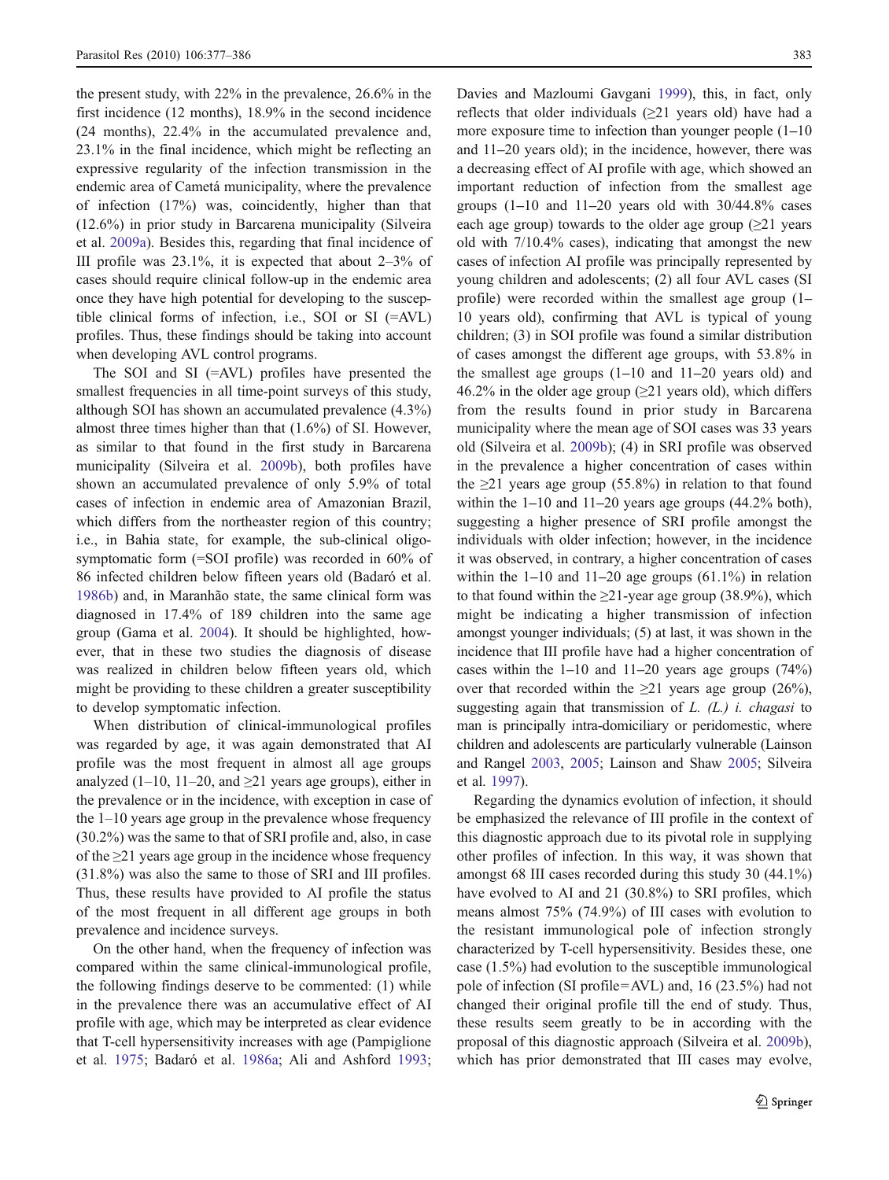the present study, with 22% in the prevalence, 26.6% in the first incidence (12 months), 18.9% in the second incidence (24 months), 22.4% in the accumulated prevalence and, 23.1% in the final incidence, which might be reflecting an expressive regularity of the infection transmission in the endemic area of Cametá municipality, where the prevalence of infection (17%) was, coincidently, higher than that (12.6%) in prior study in Barcarena municipality (Silveira et al. [2009a](#page-9-0)). Besides this, regarding that final incidence of III profile was 23.1%, it is expected that about 2–3% of cases should require clinical follow-up in the endemic area once they have high potential for developing to the susceptible clinical forms of infection, i.e., SOI or SI (=AVL) profiles. Thus, these findings should be taking into account when developing AVL control programs.

The SOI and SI (=AVL) profiles have presented the smallest frequencies in all time-point surveys of this study, although SOI has shown an accumulated prevalence (4.3%) almost three times higher than that (1.6%) of SI. However, as similar to that found in the first study in Barcarena municipality (Silveira et al. [2009b\)](#page-9-0), both profiles have shown an accumulated prevalence of only 5.9% of total cases of infection in endemic area of Amazonian Brazil, which differs from the northeaster region of this country; i.e., in Bahia state, for example, the sub-clinical oligosymptomatic form (=SOI profile) was recorded in 60% of 86 infected children below fifteen years old (Badaró et al. [1986b\)](#page-8-0) and, in Maranhão state, the same clinical form was diagnosed in 17.4% of 189 children into the same age group (Gama et al. [2004\)](#page-8-0). It should be highlighted, however, that in these two studies the diagnosis of disease was realized in children below fifteen years old, which might be providing to these children a greater susceptibility to develop symptomatic infection.

When distribution of clinical-immunological profiles was regarded by age, it was again demonstrated that AI profile was the most frequent in almost all age groups analyzed (1–10, 11–20, and  $\geq$ 21 years age groups), either in the prevalence or in the incidence, with exception in case of the 1–10 years age group in the prevalence whose frequency (30.2%) was the same to that of SRI profile and, also, in case of the  $\geq$ 21 years age group in the incidence whose frequency (31.8%) was also the same to those of SRI and III profiles. Thus, these results have provided to AI profile the status of the most frequent in all different age groups in both prevalence and incidence surveys.

On the other hand, when the frequency of infection was compared within the same clinical-immunological profile, the following findings deserve to be commented: (1) while in the prevalence there was an accumulative effect of AI profile with age, which may be interpreted as clear evidence that T-cell hypersensitivity increases with age (Pampiglione et al. [1975;](#page-8-0) Badaró et al. [1986a;](#page-8-0) Ali and Ashford [1993](#page-8-0); Davies and Mazloumi Gavgani [1999\)](#page-8-0), this, in fact, only reflects that older individuals  $(\geq 21)$  years old) have had a more exposure time to infection than younger people  $(1-10$ and 11–20 years old); in the incidence, however, there was a decreasing effect of AI profile with age, which showed an important reduction of infection from the smallest age groups (1–10 and 11–20 years old with 30/44.8% cases each age group) towards to the older age group  $(\geq 21)$  years old with 7/10.4% cases), indicating that amongst the new cases of infection AI profile was principally represented by young children and adolescents; (2) all four AVL cases (SI profile) were recorded within the smallest age group (1– 10 years old), confirming that AVL is typical of young children; (3) in SOI profile was found a similar distribution of cases amongst the different age groups, with 53.8% in the smallest age groups (1–10 and 11–20 years old) and 46.2% in the older age group ( $\geq$ 21 years old), which differs from the results found in prior study in Barcarena municipality where the mean age of SOI cases was 33 years old (Silveira et al. [2009b](#page-9-0)); (4) in SRI profile was observed in the prevalence a higher concentration of cases within the  $\geq$ 21 years age group (55.8%) in relation to that found within the  $1-10$  and  $11-20$  years age groups  $(44.2\%$  both), suggesting a higher presence of SRI profile amongst the individuals with older infection; however, in the incidence it was observed, in contrary, a higher concentration of cases within the  $1-10$  and  $11-20$  age groups  $(61.1\%)$  in relation to that found within the  $\geq$ 21-year age group (38.9%), which might be indicating a higher transmission of infection amongst younger individuals; (5) at last, it was shown in the incidence that III profile have had a higher concentration of cases within the  $1-10$  and  $11-20$  years age groups  $(74%)$ over that recorded within the  $\geq 21$  years age group (26%), suggesting again that transmission of  $L$ .  $(L)$  i. *chagasi* to man is principally intra-domiciliary or peridomestic, where children and adolescents are particularly vulnerable (Lainson and Rangel [2003,](#page-8-0) [2005;](#page-8-0) Lainson and Shaw [2005;](#page-8-0) Silveira et al. [1997](#page-9-0)).

Regarding the dynamics evolution of infection, it should be emphasized the relevance of III profile in the context of this diagnostic approach due to its pivotal role in supplying other profiles of infection. In this way, it was shown that amongst 68 III cases recorded during this study 30 (44.1%) have evolved to AI and 21 (30.8%) to SRI profiles, which means almost 75% (74.9%) of III cases with evolution to the resistant immunological pole of infection strongly characterized by T-cell hypersensitivity. Besides these, one case (1.5%) had evolution to the susceptible immunological pole of infection (SI profile=AVL) and, 16 (23.5%) had not changed their original profile till the end of study. Thus, these results seem greatly to be in according with the proposal of this diagnostic approach (Silveira et al. [2009b\)](#page-9-0), which has prior demonstrated that III cases may evolve,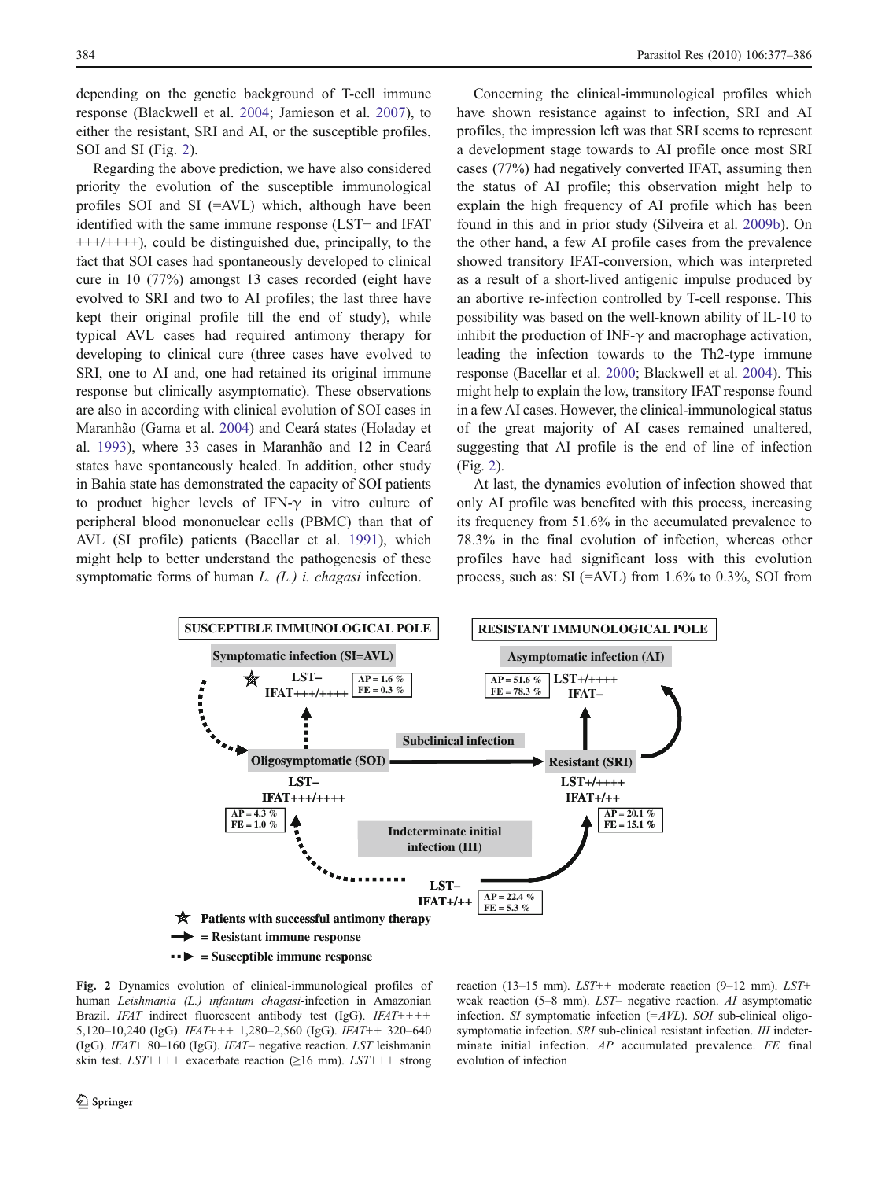depending on the genetic background of T-cell immune response (Blackwell et al. [2004;](#page-8-0) Jamieson et al. [2007\)](#page-8-0), to either the resistant, SRI and AI, or the susceptible profiles, SOI and SI (Fig. 2).

Regarding the above prediction, we have also considered priority the evolution of the susceptible immunological profiles SOI and SI (=AVL) which, although have been identified with the same immune response (LST− and IFAT  $+++/+++)$ , could be distinguished due, principally, to the fact that SOI cases had spontaneously developed to clinical cure in 10 (77%) amongst 13 cases recorded (eight have evolved to SRI and two to AI profiles; the last three have kept their original profile till the end of study), while typical AVL cases had required antimony therapy for developing to clinical cure (three cases have evolved to SRI, one to AI and, one had retained its original immune response but clinically asymptomatic). These observations are also in according with clinical evolution of SOI cases in Maranhão (Gama et al. [2004](#page-8-0)) and Ceará states (Holaday et al. [1993](#page-8-0)), where 33 cases in Maranhão and 12 in Ceará states have spontaneously healed. In addition, other study in Bahia state has demonstrated the capacity of SOI patients to product higher levels of IFN-γ in vitro culture of peripheral blood mononuclear cells (PBMC) than that of AVL (SI profile) patients (Bacellar et al. [1991\)](#page-8-0), which might help to better understand the pathogenesis of these symptomatic forms of human  $L$ .  $(L)$  *i. chagasi* infection.

Concerning the clinical-immunological profiles which have shown resistance against to infection, SRI and AI profiles, the impression left was that SRI seems to represent a development stage towards to AI profile once most SRI cases (77%) had negatively converted IFAT, assuming then the status of AI profile; this observation might help to explain the high frequency of AI profile which has been found in this and in prior study (Silveira et al. [2009b\)](#page-9-0). On the other hand, a few AI profile cases from the prevalence showed transitory IFAT-conversion, which was interpreted as a result of a short-lived antigenic impulse produced by an abortive re-infection controlled by T-cell response. This possibility was based on the well-known ability of IL-10 to inhibit the production of INF- $\gamma$  and macrophage activation, leading the infection towards to the Th2-type immune response (Bacellar et al. [2000;](#page-8-0) Blackwell et al. [2004\)](#page-8-0). This might help to explain the low, transitory IFAT response found in a few AI cases. However, the clinical-immunological status of the great majority of AI cases remained unaltered, suggesting that AI profile is the end of line of infection (Fig. 2).

At last, the dynamics evolution of infection showed that only AI profile was benefited with this process, increasing its frequency from 51.6% in the accumulated prevalence to 78.3% in the final evolution of infection, whereas other profiles have had significant loss with this evolution process, such as:  $SI$  (=AVL) from 1.6% to 0.3%, SOI from

weak reaction (5–8 mm). LST– negative reaction. AI asymptomatic



Fig. 2 Dynamics evolution of clinical-immunological profiles of human Leishmania (L.) infantum chagasi-infection in Amazonian Brazil. IFAT indirect fluorescent antibody test (IgG). IFAT++++ 5,120–10,240 (IgG).  $IFAT++$  1,280–2,560 (IgG).  $IFAT++$  320–640 (IgG). IFAT+ <sup>80</sup>–160 (IgG). IFAT– negative reaction. LST leishmanin skin test.  $LST$ ++++ exacerbate reaction ( $\geq 16$  mm).  $LST$ +++ strong

infection. SI symptomatic infection  $(=\!AWL)$ . SOI sub-clinical oligosymptomatic infection. SRI sub-clinical resistant infection. III indeterminate initial infection. AP accumulated prevalence. FE final evolution of infection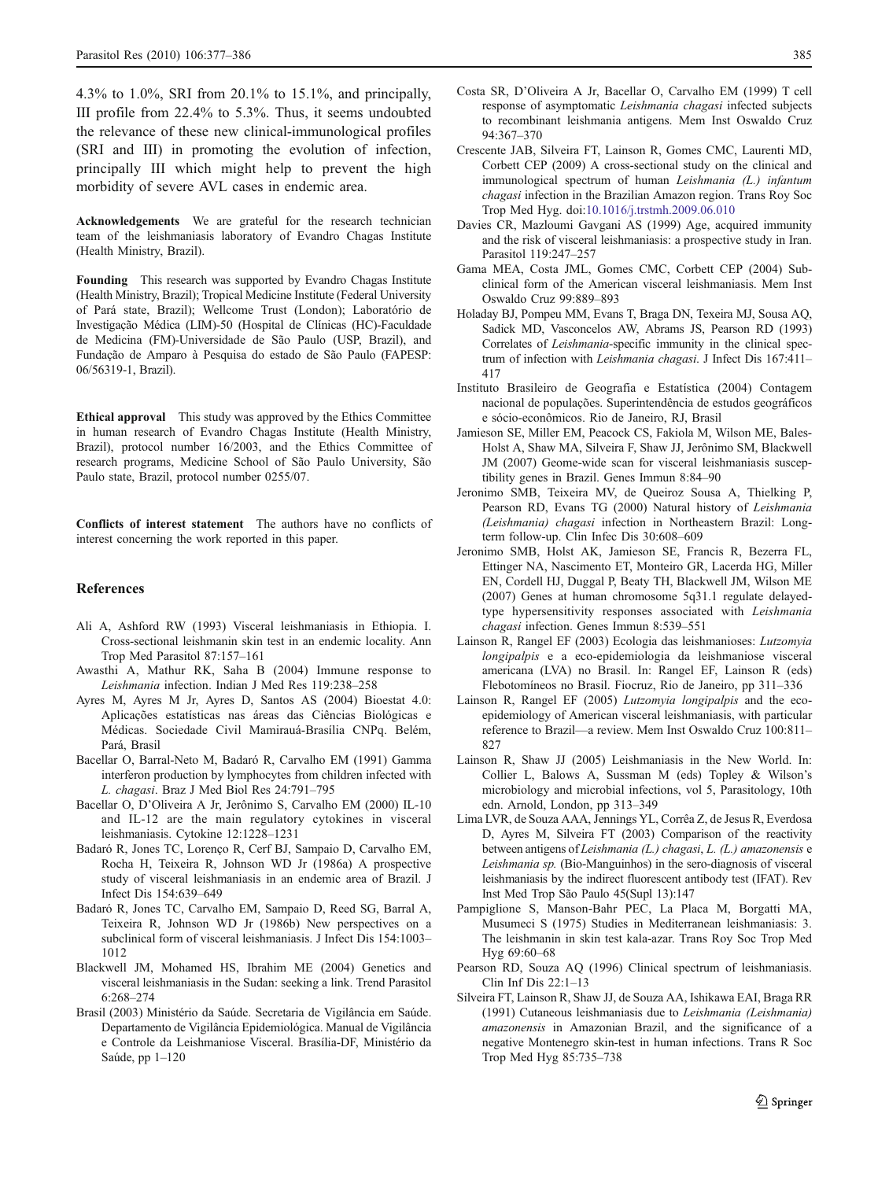<span id="page-8-0"></span>4.3% to 1.0%, SRI from 20.1% to 15.1%, and principally, III profile from 22.4% to 5.3%. Thus, it seems undoubted the relevance of these new clinical-immunological profiles (SRI and III) in promoting the evolution of infection, principally III which might help to prevent the high morbidity of severe AVL cases in endemic area.

Acknowledgements We are grateful for the research technician team of the leishmaniasis laboratory of Evandro Chagas Institute (Health Ministry, Brazil).

Founding This research was supported by Evandro Chagas Institute (Health Ministry, Brazil); Tropical Medicine Institute (Federal University of Pará state, Brazil); Wellcome Trust (London); Laboratório de Investigação Médica (LIM)-50 (Hospital de Clínicas (HC)-Faculdade de Medicina (FM)-Universidade de São Paulo (USP, Brazil), and Fundação de Amparo à Pesquisa do estado de São Paulo (FAPESP: 06/56319-1, Brazil).

Ethical approval This study was approved by the Ethics Committee in human research of Evandro Chagas Institute (Health Ministry, Brazil), protocol number 16/2003, and the Ethics Committee of research programs, Medicine School of São Paulo University, São Paulo state, Brazil, protocol number 0255/07.

Conflicts of interest statement The authors have no conflicts of interest concerning the work reported in this paper.

#### References

- Ali A, Ashford RW (1993) Visceral leishmaniasis in Ethiopia. I. Cross-sectional leishmanin skin test in an endemic locality. Ann Trop Med Parasitol 87:157–161
- Awasthi A, Mathur RK, Saha B (2004) Immune response to Leishmania infection. Indian J Med Res 119:238–<sup>258</sup>
- Ayres M, Ayres M Jr, Ayres D, Santos AS (2004) Bioestat 4.0: Aplicações estatísticas nas áreas das Ciências Biológicas e Médicas. Sociedade Civil Mamirauá-Brasília CNPq. Belém, Pará, Brasil
- Bacellar O, Barral-Neto M, Badaró R, Carvalho EM (1991) Gamma interferon production by lymphocytes from children infected with L. chagasi. Braz J Med Biol Res 24:791–<sup>795</sup>
- Bacellar O, D'Oliveira A Jr, Jerônimo S, Carvalho EM (2000) IL-10 and IL-12 are the main regulatory cytokines in visceral leishmaniasis. Cytokine 12:1228–1231
- Badaró R, Jones TC, Lorenço R, Cerf BJ, Sampaio D, Carvalho EM, Rocha H, Teixeira R, Johnson WD Jr (1986a) A prospective study of visceral leishmaniasis in an endemic area of Brazil. J Infect Dis 154:639–649
- Badaró R, Jones TC, Carvalho EM, Sampaio D, Reed SG, Barral A, Teixeira R, Johnson WD Jr (1986b) New perspectives on a subclinical form of visceral leishmaniasis. J Infect Dis 154:1003– 1012
- Blackwell JM, Mohamed HS, Ibrahim ME (2004) Genetics and visceral leishmaniasis in the Sudan: seeking a link. Trend Parasitol 6:268–274
- Brasil (2003) Ministério da Saúde. Secretaria de Vigilância em Saúde. Departamento de Vigilância Epidemiológica. Manual de Vigilância e Controle da Leishmaniose Visceral. Brasília-DF, Ministério da Saúde, pp 1–120
- Costa SR, D'Oliveira A Jr, Bacellar O, Carvalho EM (1999) T cell response of asymptomatic Leishmania chagasi infected subjects to recombinant leishmania antigens. Mem Inst Oswaldo Cruz 94:367–370
- Crescente JAB, Silveira FT, Lainson R, Gomes CMC, Laurenti MD, Corbett CEP (2009) A cross-sectional study on the clinical and immunological spectrum of human Leishmania (L.) infantum chagasi infection in the Brazilian Amazon region. Trans Roy Soc Trop Med Hyg. doi:[10.1016/j.trstmh.2009.06.010](http://dx.doi.org/10.1016/j.trstmh.2009.06.010)
- Davies CR, Mazloumi Gavgani AS (1999) Age, acquired immunity and the risk of visceral leishmaniasis: a prospective study in Iran. Parasitol 119:247–257
- Gama MEA, Costa JML, Gomes CMC, Corbett CEP (2004) Subclinical form of the American visceral leishmaniasis. Mem Inst Oswaldo Cruz 99:889–893
- Holaday BJ, Pompeu MM, Evans T, Braga DN, Texeira MJ, Sousa AQ, Sadick MD, Vasconcelos AW, Abrams JS, Pearson RD (1993) Correlates of Leishmania-specific immunity in the clinical spectrum of infection with Leishmania chagasi. J Infect Dis 167:411– 417
- Instituto Brasileiro de Geografia e Estatística (2004) Contagem nacional de populações. Superintendência de estudos geográficos e sócio-econômicos. Rio de Janeiro, RJ, Brasil
- Jamieson SE, Miller EM, Peacock CS, Fakiola M, Wilson ME, Bales-Holst A, Shaw MA, Silveira F, Shaw JJ, Jerônimo SM, Blackwell JM (2007) Geome-wide scan for visceral leishmaniasis susceptibility genes in Brazil. Genes Immun 8:84–90
- Jeronimo SMB, Teixeira MV, de Queiroz Sousa A, Thielking P, Pearson RD, Evans TG (2000) Natural history of Leishmania (Leishmania) chagasi infection in Northeastern Brazil: Longterm follow-up. Clin Infec Dis 30:608–609
- Jeronimo SMB, Holst AK, Jamieson SE, Francis R, Bezerra FL, Ettinger NA, Nascimento ET, Monteiro GR, Lacerda HG, Miller EN, Cordell HJ, Duggal P, Beaty TH, Blackwell JM, Wilson ME (2007) Genes at human chromosome 5q31.1 regulate delayedtype hypersensitivity responses associated with Leishmania chagasi infection. Genes Immun 8:539–<sup>551</sup>
- Lainson R, Rangel EF (2003) Ecologia das leishmanioses: Lutzomyia longipalpis e a eco-epidemiologia da leishmaniose visceral americana (LVA) no Brasil. In: Rangel EF, Lainson R (eds) Flebotomíneos no Brasil. Fiocruz, Rio de Janeiro, pp 311–336
- Lainson R, Rangel EF (2005) Lutzomyia longipalpis and the ecoepidemiology of American visceral leishmaniasis, with particular reference to Brazil—a review. Mem Inst Oswaldo Cruz 100:811– 827
- Lainson R, Shaw JJ (2005) Leishmaniasis in the New World. In: Collier L, Balows A, Sussman M (eds) Topley & Wilson's microbiology and microbial infections, vol 5, Parasitology, 10th edn. Arnold, London, pp 313–349
- Lima LVR, de Souza AAA, Jennings YL, Corrêa Z, de Jesus R, Everdosa D, Ayres M, Silveira FT (2003) Comparison of the reactivity between antigens of Leishmania (L.) chagasi, L. (L.) amazonensis <sup>e</sup> Leishmania sp. (Bio-Manguinhos) in the sero-diagnosis of visceral leishmaniasis by the indirect fluorescent antibody test (IFAT). Rev Inst Med Trop São Paulo 45(Supl 13):147
- Pampiglione S, Manson-Bahr PEC, La Placa M, Borgatti MA, Musumeci S (1975) Studies in Mediterranean leishmaniasis: 3. The leishmanin in skin test kala-azar. Trans Roy Soc Trop Med Hyg 69:60–68
- Pearson RD, Souza AQ (1996) Clinical spectrum of leishmaniasis. Clin Inf Dis 22:1–13
- Silveira FT, Lainson R, Shaw JJ, de Souza AA, Ishikawa EAI, Braga RR (1991) Cutaneous leishmaniasis due to Leishmania (Leishmania) amazonensis in Amazonian Brazil, and the significance of a negative Montenegro skin-test in human infections. Trans R Soc Trop Med Hyg 85:735–738